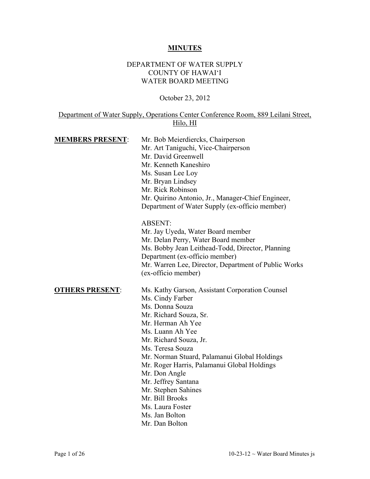#### **MINUTES**

#### DEPARTMENT OF WATER SUPPLY COUNTY OF HAWAI'I WATER BOARD MEETING

October 23, 2012

### Department of Water Supply, Operations Center Conference Room, 889 Leilani Street, Hilo, HI

| <b>MEMBERS PRESENT:</b> | Mr. Bob Meierdiercks, Chairperson                    |
|-------------------------|------------------------------------------------------|
|                         | Mr. Art Taniguchi, Vice-Chairperson                  |
|                         | Mr. David Greenwell                                  |
|                         | Mr. Kenneth Kaneshiro                                |
|                         | Ms. Susan Lee Loy                                    |
|                         | Mr. Bryan Lindsey                                    |
|                         | Mr. Rick Robinson                                    |
|                         | Mr. Quirino Antonio, Jr., Manager-Chief Engineer,    |
|                         | Department of Water Supply (ex-officio member)       |
|                         | <b>ABSENT:</b>                                       |
|                         | Mr. Jay Uyeda, Water Board member                    |
|                         | Mr. Delan Perry, Water Board member                  |
|                         | Ms. Bobby Jean Leithead-Todd, Director, Planning     |
|                         | Department (ex-officio member)                       |
|                         | Mr. Warren Lee, Director, Department of Public Works |
|                         | (ex-officio member)                                  |
| <b>OTHERS PRESENT:</b>  | Ms. Kathy Garson, Assistant Corporation Counsel      |
|                         | Ms. Cindy Farber                                     |
|                         | Ms. Donna Souza                                      |
|                         | Mr. Richard Souza, Sr.                               |
|                         | Mr. Herman Ah Yee                                    |
|                         | Ms. Luann Ah Yee                                     |
|                         | Mr. Richard Souza, Jr.                               |
|                         | Ms. Teresa Souza                                     |
|                         | Mr. Norman Stuard, Palamanui Global Holdings         |
|                         | Mr. Roger Harris, Palamanui Global Holdings          |
|                         | Mr. Don Angle                                        |
|                         |                                                      |

- Mr. Jeffrey Santana
- Mr. Stephen Sahines
- Mr. Bill Brooks
- Ms. Laura Foster
- Ms. Jan Bolton
- Mr. Dan Bolton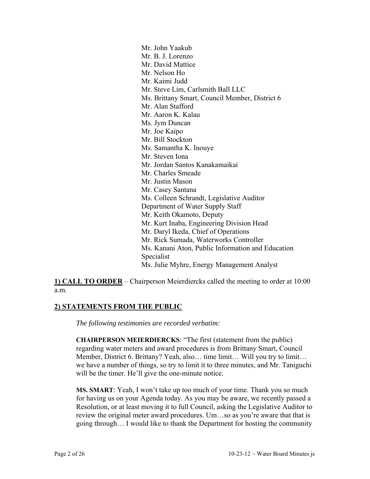Mr. John Yaakub Mr. B. J. Lorenzo Mr. David Mattice Mr. Nelson Ho Mr. Kaimi Judd Mr. Steve Lim, Carlsmith Ball LLC Ms. Brittany Smart, Council Member, District 6 Mr. Alan Stafford Mr. Aaron K. Kalau Ms. Jym Duncan Mr. Joe Kaipo Mr. Bill Stockton Ms. Samantha K. Inouye Mr. Steven Iona Mr. Jordan Santos Kanakamaikai Mr. Charles Smeade Mr. Justin Mason Mr. Casey Santana Ms. Colleen Schrandt, Legislative Auditor Department of Water Supply Staff Mr. Keith Okamoto, Deputy Mr. Kurt Inaba, Engineering Division Head Mr. Daryl Ikeda, Chief of Operations Mr. Rick Sumada, Waterworks Controller Ms. Kanani Aton, Public Information and Education Specialist Ms. Julie Myhre, Energy Management Analyst

**1) CALL TO ORDER** – Chairperson Meierdiercks called the meeting to order at 10:00 a.m.

## **2) STATEMENTS FROM THE PUBLIC**

*The following testimonies are recorded verbatim:* 

**CHAIRPERSON MEIERDIERCKS**: "The first (statement from the public) regarding water meters and award procedures is from Brittany Smart, Council Member, District 6. Brittany? Yeah, also… time limit… Will you try to limit… we have a number of things, so try to limit it to three minutes, and Mr. Taniguchi will be the timer. He'll give the one-minute notice.

**MS. SMART**: Yeah, I won't take up too much of your time. Thank you so much for having us on your Agenda today. As you may be aware, we recently passed a Resolution, or at least moving it to full Council, asking the Legislative Auditor to review the original meter award procedures. Um…so as you're aware that that is going through… I would like to thank the Department for hosting the community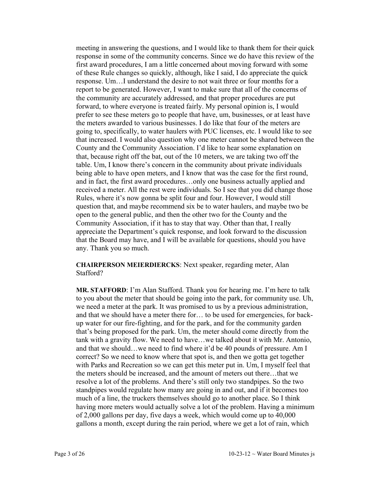meeting in answering the questions, and I would like to thank them for their quick response in some of the community concerns. Since we do have this review of the first award procedures, I am a little concerned about moving forward with some of these Rule changes so quickly, although, like I said, I do appreciate the quick response. Um…I understand the desire to not wait three or four months for a report to be generated. However, I want to make sure that all of the concerns of the community are accurately addressed, and that proper procedures are put forward, to where everyone is treated fairly. My personal opinion is, I would prefer to see these meters go to people that have, um, businesses, or at least have the meters awarded to various businesses. I do like that four of the meters are going to, specifically, to water haulers with PUC licenses, etc. I would like to see that increased. I would also question why one meter cannot be shared between the County and the Community Association. I'd like to hear some explanation on that, because right off the bat, out of the 10 meters, we are taking two off the table. Um, I know there's concern in the community about private individuals being able to have open meters, and I know that was the case for the first round, and in fact, the first award procedures…only one business actually applied and received a meter. All the rest were individuals. So I see that you did change those Rules, where it's now gonna be split four and four. However, I would still question that, and maybe recommend six be to water haulers, and maybe two be open to the general public, and then the other two for the County and the Community Association, if it has to stay that way. Other than that, I really appreciate the Department's quick response, and look forward to the discussion that the Board may have, and I will be available for questions, should you have any. Thank you so much.

**CHAIRPERSON MEIERDIERCKS**: Next speaker, regarding meter, Alan Stafford?

**MR. STAFFORD**: I'm Alan Stafford. Thank you for hearing me. I'm here to talk to you about the meter that should be going into the park, for community use. Uh, we need a meter at the park. It was promised to us by a previous administration, and that we should have a meter there for… to be used for emergencies, for backup water for our fire-fighting, and for the park, and for the community garden that's being proposed for the park. Um, the meter should come directly from the tank with a gravity flow. We need to have…we talked about it with Mr. Antonio, and that we should…we need to find where it'd be 40 pounds of pressure. Am I correct? So we need to know where that spot is, and then we gotta get together with Parks and Recreation so we can get this meter put in. Um, I myself feel that the meters should be increased, and the amount of meters out there…that we resolve a lot of the problems. And there's still only two standpipes. So the two standpipes would regulate how many are going in and out, and if it becomes too much of a line, the truckers themselves should go to another place. So I think having more meters would actually solve a lot of the problem. Having a minimum of 2,000 gallons per day, five days a week, which would come up to 40,000 gallons a month, except during the rain period, where we get a lot of rain, which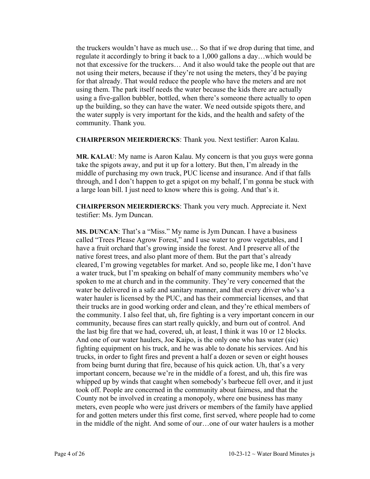the truckers wouldn't have as much use… So that if we drop during that time, and regulate it accordingly to bring it back to a 1,000 gallons a day…which would be not that excessive for the truckers… And it also would take the people out that are not using their meters, because if they're not using the meters, they'd be paying for that already. That would reduce the people who have the meters and are not using them. The park itself needs the water because the kids there are actually using a five-gallon bubbler, bottled, when there's someone there actually to open up the building, so they can have the water. We need outside spigots there, and the water supply is very important for the kids, and the health and safety of the community. Thank you.

**CHAIRPERSON MEIERDIERCKS**: Thank you. Next testifier: Aaron Kalau.

**MR. KALAU**: My name is Aaron Kalau. My concern is that you guys were gonna take the spigots away, and put it up for a lottery. But then, I'm already in the middle of purchasing my own truck, PUC license and insurance. And if that falls through, and I don't happen to get a spigot on my behalf, I'm gonna be stuck with a large loan bill. I just need to know where this is going. And that's it.

**CHAIRPERSON MEIERDIERCKS**: Thank you very much. Appreciate it. Next testifier: Ms. Jym Duncan.

**MS. DUNCAN**: That's a "Miss." My name is Jym Duncan. I have a business called "Trees Please Agrow Forest," and I use water to grow vegetables, and I have a fruit orchard that's growing inside the forest. And I preserve all of the native forest trees, and also plant more of them. But the part that's already cleared, I'm growing vegetables for market. And so, people like me, I don't have a water truck, but I'm speaking on behalf of many community members who've spoken to me at church and in the community. They're very concerned that the water be delivered in a safe and sanitary manner, and that every driver who's a water hauler is licensed by the PUC, and has their commercial licenses, and that their trucks are in good working order and clean, and they're ethical members of the community. I also feel that, uh, fire fighting is a very important concern in our community, because fires can start really quickly, and burn out of control. And the last big fire that we had, covered, uh, at least, I think it was 10 or 12 blocks. And one of our water haulers, Joe Kaipo, is the only one who has water (sic) fighting equipment on his truck, and he was able to donate his services. And his trucks, in order to fight fires and prevent a half a dozen or seven or eight houses from being burnt during that fire, because of his quick action. Uh, that's a very important concern, because we're in the middle of a forest, and uh, this fire was whipped up by winds that caught when somebody's barbecue fell over, and it just took off. People are concerned in the community about fairness, and that the County not be involved in creating a monopoly, where one business has many meters, even people who were just drivers or members of the family have applied for and gotten meters under this first come, first served, where people had to come in the middle of the night. And some of our…one of our water haulers is a mother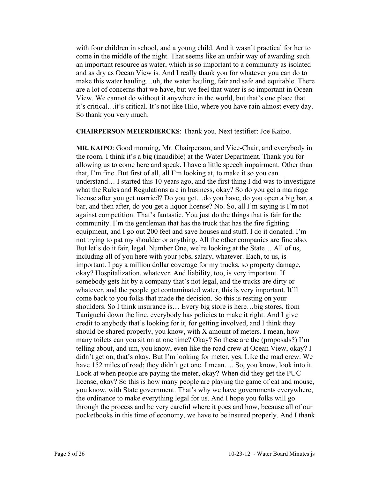with four children in school, and a young child. And it wasn't practical for her to come in the middle of the night. That seems like an unfair way of awarding such an important resource as water, which is so important to a community as isolated and as dry as Ocean View is. And I really thank you for whatever you can do to make this water hauling…uh, the water hauling, fair and safe and equitable. There are a lot of concerns that we have, but we feel that water is so important in Ocean View. We cannot do without it anywhere in the world, but that's one place that it's critical…it's critical. It's not like Hilo, where you have rain almost every day. So thank you very much.

**CHAIRPERSON MEIERDIERCKS**: Thank you. Next testifier: Joe Kaipo.

**MR. KAIPO**: Good morning, Mr. Chairperson, and Vice-Chair, and everybody in the room. I think it's a big (inaudible) at the Water Department. Thank you for allowing us to come here and speak. I have a little speech impairment. Other than that, I'm fine. But first of all, all I'm looking at, to make it so you can understand… I started this 10 years ago, and the first thing I did was to investigate what the Rules and Regulations are in business, okay? So do you get a marriage license after you get married? Do you get…do you have, do you open a big bar, a bar, and then after, do you get a liquor license? No. So, all I'm saying is I'm not against competition. That's fantastic. You just do the things that is fair for the community. I'm the gentleman that has the truck that has the fire fighting equipment, and I go out 200 feet and save houses and stuff. I do it donated. I'm not trying to pat my shoulder or anything. All the other companies are fine also. But let's do it fair, legal. Number One, we're looking at the State… All of us, including all of you here with your jobs, salary, whatever. Each, to us, is important. I pay a million dollar coverage for my trucks, so property damage, okay? Hospitalization, whatever. And liability, too, is very important. If somebody gets hit by a company that's not legal, and the trucks are dirty or whatever, and the people get contaminated water, this is very important. It'll come back to you folks that made the decision. So this is resting on your shoulders. So I think insurance is… Every big store is here…big stores, from Taniguchi down the line, everybody has policies to make it right. And I give credit to anybody that's looking for it, for getting involved, and I think they should be shared properly, you know, with X amount of meters. I mean, how many toilets can you sit on at one time? Okay? So these are the (proposals?) I'm telling about, and um, you know, even like the road crew at Ocean View, okay? I didn't get on, that's okay. But I'm looking for meter, yes. Like the road crew. We have 152 miles of road; they didn't get one. I mean.... So, you know, look into it. Look at when people are paying the meter, okay? When did they get the PUC license, okay? So this is how many people are playing the game of cat and mouse, you know, with State government. That's why we have governments everywhere, the ordinance to make everything legal for us. And I hope you folks will go through the process and be very careful where it goes and how, because all of our pocketbooks in this time of economy, we have to be insured properly. And I thank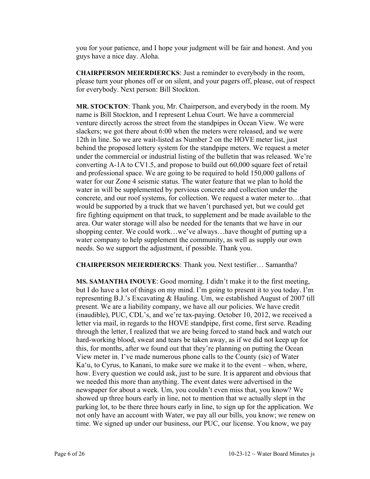you for your patience, and I hope your judgment will be fair and honest. And you guys have a nice day. Aloha.

**CHAIRPERSON MEIERDIERCKS**: Just a reminder to everybody in the room, please turn your phones off or on silent, and your pagers off, please, out of respect for everybody. Next person: Bill Stockton.

**MR. STOCKTON**: Thank you, Mr. Chairperson, and everybody in the room. My name is Bill Stockton, and I represent Lehua Court. We have a commercial venture directly across the street from the standpipes in Ocean View. We were slackers; we got there about 6:00 when the meters were released, and we were 12th in line. So we are wait-listed as Number 2 on the HOVE meter list, just behind the proposed lottery system for the standpipe meters. We request a meter under the commercial or industrial listing of the bulletin that was released. We're converting A-1A to CV1.5, and propose to build out 60,000 square feet of retail and professional space. We are going to be required to hold 150,000 gallons of water for our Zone 4 seismic status. The water feature that we plan to hold the water in will be supplemented by pervious concrete and collection under the concrete, and our roof systems, for collection. We request a water meter to…that would be supported by a truck that we haven't purchased yet, but we could get fire fighting equipment on that truck, to supplement and be made available to the area. Our water storage will also be needed for the tenants that we have in our shopping center. We could work…we've always…have thought of putting up a water company to help supplement the community, as well as supply our own needs. So we support the adjustment, if possible. Thank you.

**CHAIRPERSON MEIERDIERCKS**: Thank you. Next testifier… Samantha?

**MS. SAMANTHA INOUYE**: Good morning. I didn't make it to the first meeting, but I do have a lot of things on my mind. I'm going to present it to you today. I'm representing B.J.'s Excavating & Hauling. Um, we established August of 2007 till present. We are a liability company, we have all our policies. We have credit (inaudible), PUC, CDL's, and we're tax-paying. October 10, 2012, we received a letter via mail, in regards to the HOVE standpipe, first come, first serve. Reading through the letter, I realized that we are being forced to stand back and watch our hard-working blood, sweat and tears be taken away, as if we did not keep up for this, for months, after we found out that they're planning on putting the Ocean View meter in. I've made numerous phone calls to the County (sic) of Water Ka'u, to Cyrus, to Kanani, to make sure we make it to the event – when, where, how. Every question we could ask, just to be sure. It is apparent and obvious that we needed this more than anything. The event dates were advertised in the newspaper for about a week. Um, you couldn't even miss that, you know? We showed up three hours early in line, not to mention that we actually slept in the parking lot, to be there three hours early in line, to sign up for the application. We not only have an account with Water, we pay all our bills, you know; we renew on time. We signed up under our business, our PUC, our license. You know, we pay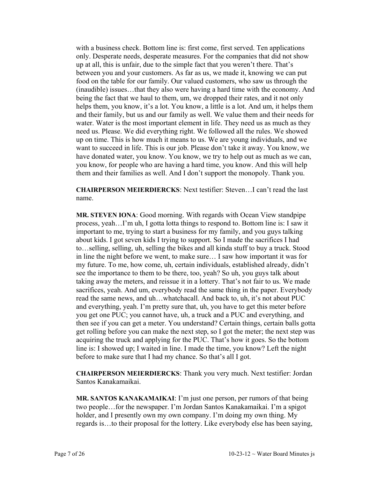with a business check. Bottom line is: first come, first served. Ten applications only. Desperate needs, desperate measures. For the companies that did not show up at all, this is unfair, due to the simple fact that you weren't there. That's between you and your customers. As far as us, we made it, knowing we can put food on the table for our family. Our valued customers, who saw us through the (inaudible) issues…that they also were having a hard time with the economy. And being the fact that we haul to them, um, we dropped their rates, and it not only helps them, you know, it's a lot. You know, a little is a lot. And um, it helps them and their family, but us and our family as well. We value them and their needs for water. Water is the most important element in life. They need us as much as they need us. Please. We did everything right. We followed all the rules. We showed up on time. This is how much it means to us. We are young individuals, and we want to succeed in life. This is our job. Please don't take it away. You know, we have donated water, you know. You know, we try to help out as much as we can, you know, for people who are having a hard time, you know. And this will help them and their families as well. And I don't support the monopoly. Thank you.

**CHAIRPERSON MEIERDIERCKS**: Next testifier: Steven…I can't read the last name.

**MR. STEVEN IONA**: Good morning. With regards with Ocean View standpipe process, yeah…I'm uh, I gotta lotta things to respond to. Bottom line is: I saw it important to me, trying to start a business for my family, and you guys talking about kids. I got seven kids I trying to support. So I made the sacrifices I had to…selling, selling, uh, selling the bikes and all kinda stuff to buy a truck. Stood in line the night before we went, to make sure… I saw how important it was for my future. To me, how come, uh, certain individuals, established already, didn't see the importance to them to be there, too, yeah? So uh, you guys talk about taking away the meters, and reissue it in a lottery. That's not fair to us. We made sacrifices, yeah. And um, everybody read the same thing in the paper. Everybody read the same news, and uh…whatchacall. And back to, uh, it's not about PUC and everything, yeah. I'm pretty sure that, uh, you have to get this meter before you get one PUC; you cannot have, uh, a truck and a PUC and everything, and then see if you can get a meter. You understand? Certain things, certain balls gotta get rolling before you can make the next step, so I got the meter; the next step was acquiring the truck and applying for the PUC. That's how it goes. So the bottom line is: I showed up; I waited in line. I made the time, you know? Left the night before to make sure that I had my chance. So that's all I got.

**CHAIRPERSON MEIERDIERCKS**: Thank you very much. Next testifier: Jordan Santos Kanakamaikai.

**MR. SANTOS KANAKAMAIKAI**: I'm just one person, per rumors of that being two people…for the newspaper. I'm Jordan Santos Kanakamaikai. I'm a spigot holder, and I presently own my own company. I'm doing my own thing. My regards is…to their proposal for the lottery. Like everybody else has been saying,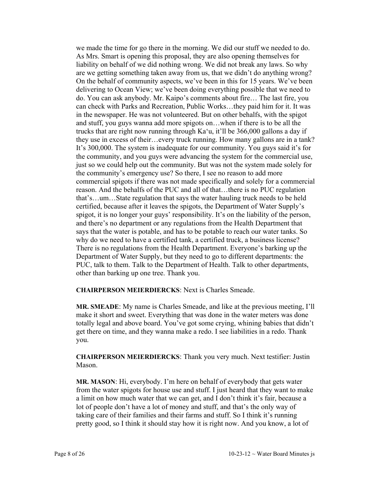we made the time for go there in the morning. We did our stuff we needed to do. As Mrs. Smart is opening this proposal, they are also opening themselves for liability on behalf of we did nothing wrong. We did not break any laws. So why are we getting something taken away from us, that we didn't do anything wrong? On the behalf of community aspects, we've been in this for 15 years. We've been delivering to Ocean View; we've been doing everything possible that we need to do. You can ask anybody. Mr. Kaipo's comments about fire… The last fire, you can check with Parks and Recreation, Public Works…they paid him for it. It was in the newspaper. He was not volunteered. But on other behalfs, with the spigot and stuff, you guys wanna add more spigots on…when if there is to be all the trucks that are right now running through Ka'u, it'll be 366,000 gallons a day if they use in excess of their…every truck running. How many gallons are in a tank? It's 300,000. The system is inadequate for our community. You guys said it's for the community, and you guys were advancing the system for the commercial use, just so we could help out the community. But was not the system made solely for the community's emergency use? So there, I see no reason to add more commercial spigots if there was not made specifically and solely for a commercial reason. And the behalfs of the PUC and all of that…there is no PUC regulation that's…um…State regulation that says the water hauling truck needs to be held certified, because after it leaves the spigots, the Department of Water Supply's spigot, it is no longer your guys' responsibility. It's on the liability of the person, and there's no department or any regulations from the Health Department that says that the water is potable, and has to be potable to reach our water tanks. So why do we need to have a certified tank, a certified truck, a business license? There is no regulations from the Health Department. Everyone's barking up the Department of Water Supply, but they need to go to different departments: the PUC, talk to them. Talk to the Department of Health. Talk to other departments, other than barking up one tree. Thank you.

**CHAIRPERSON MEIERDIERCKS**: Next is Charles Smeade.

**MR. SMEADE**: My name is Charles Smeade, and like at the previous meeting, I'll make it short and sweet. Everything that was done in the water meters was done totally legal and above board. You've got some crying, whining babies that didn't get there on time, and they wanna make a redo. I see liabilities in a redo. Thank you.

**CHAIRPERSON MEIERDIERCKS**: Thank you very much. Next testifier: Justin Mason.

**MR. MASON**: Hi, everybody. I'm here on behalf of everybody that gets water from the water spigots for house use and stuff. I just heard that they want to make a limit on how much water that we can get, and I don't think it's fair, because a lot of people don't have a lot of money and stuff, and that's the only way of taking care of their families and their farms and stuff. So I think it's running pretty good, so I think it should stay how it is right now. And you know, a lot of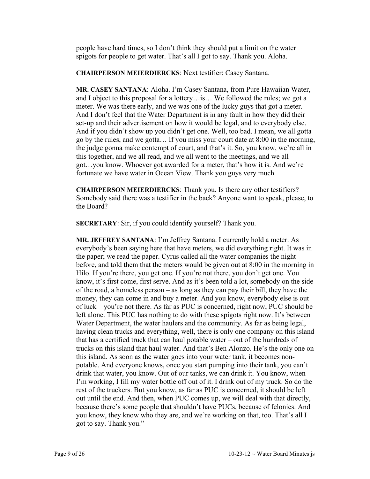people have hard times, so I don't think they should put a limit on the water spigots for people to get water. That's all I got to say. Thank you. Aloha.

**CHAIRPERSON MEIERDIERCKS**: Next testifier: Casey Santana.

**MR. CASEY SANTANA**: Aloha. I'm Casey Santana, from Pure Hawaiian Water, and I object to this proposal for a lottery…is… We followed the rules; we got a meter. We was there early, and we was one of the lucky guys that got a meter. And I don't feel that the Water Department is in any fault in how they did their set-up and their advertisement on how it would be legal, and to everybody else. And if you didn't show up you didn't get one. Well, too bad. I mean, we all gotta go by the rules, and we gotta… If you miss your court date at 8:00 in the morning, the judge gonna make contempt of court, and that's it. So, you know, we're all in this together, and we all read, and we all went to the meetings, and we all got…you know. Whoever got awarded for a meter, that's how it is. And we're fortunate we have water in Ocean View. Thank you guys very much.

**CHAIRPERSON MEIERDIERCKS**: Thank you. Is there any other testifiers? Somebody said there was a testifier in the back? Anyone want to speak, please, to the Board?

**SECRETARY**: Sir, if you could identify yourself? Thank you.

**MR. JEFFREY SANTANA**: I'm Jeffrey Santana. I currently hold a meter. As everybody's been saying here that have meters, we did everything right. It was in the paper; we read the paper. Cyrus called all the water companies the night before, and told them that the meters would be given out at 8:00 in the morning in Hilo. If you're there, you get one. If you're not there, you don't get one. You know, it's first come, first serve. And as it's been told a lot, somebody on the side of the road, a homeless person – as long as they can pay their bill, they have the money, they can come in and buy a meter. And you know, everybody else is out of luck – you're not there. As far as PUC is concerned, right now, PUC should be left alone. This PUC has nothing to do with these spigots right now. It's between Water Department, the water haulers and the community. As far as being legal, having clean trucks and everything, well, there is only one company on this island that has a certified truck that can haul potable water – out of the hundreds of trucks on this island that haul water. And that's Ben Alonzo. He's the only one on this island. As soon as the water goes into your water tank, it becomes nonpotable. And everyone knows, once you start pumping into their tank, you can't drink that water, you know. Out of our tanks, we can drink it. You know, when I'm working, I fill my water bottle off out of it. I drink out of my truck. So do the rest of the truckers. But you know, as far as PUC is concerned, it should be left out until the end. And then, when PUC comes up, we will deal with that directly, because there's some people that shouldn't have PUCs, because of felonies. And you know, they know who they are, and we're working on that, too. That's all I got to say. Thank you."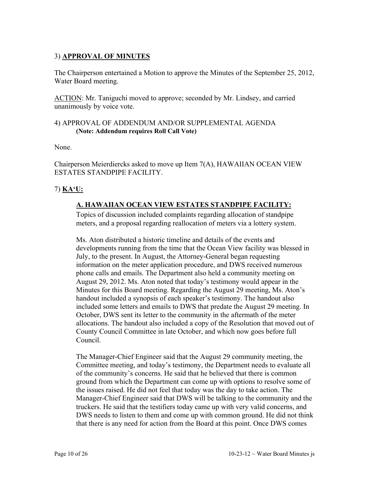## 3) **APPROVAL OF MINUTES**

The Chairperson entertained a Motion to approve the Minutes of the September 25, 2012, Water Board meeting.

ACTION: Mr. Taniguchi moved to approve; seconded by Mr. Lindsey, and carried unanimously by voice vote.

#### 4) APPROVAL OF ADDENDUM AND/OR SUPPLEMENTAL AGENDA **(Note: Addendum requires Roll Call Vote)**

None.

Chairperson Meierdiercks asked to move up Item 7(A), HAWAIIAN OCEAN VIEW ESTATES STANDPIPE FACILITY.

## 7) **KA'U:**

# **A. HAWAIIAN OCEAN VIEW ESTATES STANDPIPE FACILITY:**

Topics of discussion included complaints regarding allocation of standpipe meters, and a proposal regarding reallocation of meters via a lottery system.

Ms. Aton distributed a historic timeline and details of the events and developments running from the time that the Ocean View facility was blessed in July, to the present. In August, the Attorney-General began requesting information on the meter application procedure, and DWS received numerous phone calls and emails. The Department also held a community meeting on August 29, 2012. Ms. Aton noted that today's testimony would appear in the Minutes for this Board meeting. Regarding the August 29 meeting, Ms. Aton's handout included a synopsis of each speaker's testimony. The handout also included some letters and emails to DWS that predate the August 29 meeting. In October, DWS sent its letter to the community in the aftermath of the meter allocations. The handout also included a copy of the Resolution that moved out of County Council Committee in late October, and which now goes before full Council.

The Manager-Chief Engineer said that the August 29 community meeting, the Committee meeting, and today's testimony, the Department needs to evaluate all of the community's concerns. He said that he believed that there is common ground from which the Department can come up with options to resolve some of the issues raised. He did not feel that today was the day to take action. The Manager-Chief Engineer said that DWS will be talking to the community and the truckers. He said that the testifiers today came up with very valid concerns, and DWS needs to listen to them and come up with common ground. He did not think that there is any need for action from the Board at this point. Once DWS comes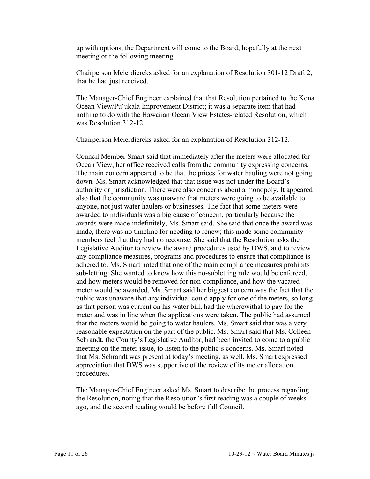up with options, the Department will come to the Board, hopefully at the next meeting or the following meeting.

Chairperson Meierdiercks asked for an explanation of Resolution 301-12 Draft 2, that he had just received.

The Manager-Chief Engineer explained that that Resolution pertained to the Kona Ocean View/Pu'ukala Improvement District; it was a separate item that had nothing to do with the Hawaiian Ocean View Estates-related Resolution, which was Resolution 312-12.

Chairperson Meierdiercks asked for an explanation of Resolution 312-12.

Council Member Smart said that immediately after the meters were allocated for Ocean View, her office received calls from the community expressing concerns. The main concern appeared to be that the prices for water hauling were not going down. Ms. Smart acknowledged that that issue was not under the Board's authority or jurisdiction. There were also concerns about a monopoly. It appeared also that the community was unaware that meters were going to be available to anyone, not just water haulers or businesses. The fact that some meters were awarded to individuals was a big cause of concern, particularly because the awards were made indefinitely, Ms. Smart said. She said that once the award was made, there was no timeline for needing to renew; this made some community members feel that they had no recourse. She said that the Resolution asks the Legislative Auditor to review the award procedures used by DWS, and to review any compliance measures, programs and procedures to ensure that compliance is adhered to. Ms. Smart noted that one of the main compliance measures prohibits sub-letting. She wanted to know how this no-subletting rule would be enforced, and how meters would be removed for non-compliance, and how the vacated meter would be awarded. Ms. Smart said her biggest concern was the fact that the public was unaware that any individual could apply for one of the meters, so long as that person was current on his water bill, had the wherewithal to pay for the meter and was in line when the applications were taken. The public had assumed that the meters would be going to water haulers. Ms. Smart said that was a very reasonable expectation on the part of the public. Ms. Smart said that Ms. Colleen Schrandt, the County's Legislative Auditor, had been invited to come to a public meeting on the meter issue, to listen to the public's concerns. Ms. Smart noted that Ms. Schrandt was present at today's meeting, as well. Ms. Smart expressed appreciation that DWS was supportive of the review of its meter allocation procedures.

The Manager-Chief Engineer asked Ms. Smart to describe the process regarding the Resolution, noting that the Resolution's first reading was a couple of weeks ago, and the second reading would be before full Council.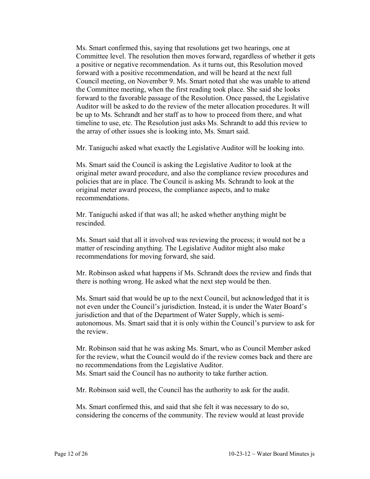Ms. Smart confirmed this, saying that resolutions get two hearings, one at Committee level. The resolution then moves forward, regardless of whether it gets a positive or negative recommendation. As it turns out, this Resolution moved forward with a positive recommendation, and will be heard at the next full Council meeting, on November 9. Ms. Smart noted that she was unable to attend the Committee meeting, when the first reading took place. She said she looks forward to the favorable passage of the Resolution. Once passed, the Legislative Auditor will be asked to do the review of the meter allocation procedures. It will be up to Ms. Schrandt and her staff as to how to proceed from there, and what timeline to use, etc. The Resolution just asks Ms. Schrandt to add this review to the array of other issues she is looking into, Ms. Smart said.

Mr. Taniguchi asked what exactly the Legislative Auditor will be looking into.

Ms. Smart said the Council is asking the Legislative Auditor to look at the original meter award procedure, and also the compliance review procedures and policies that are in place. The Council is asking Ms. Schrandt to look at the original meter award process, the compliance aspects, and to make recommendations.

Mr. Taniguchi asked if that was all; he asked whether anything might be rescinded.

Ms. Smart said that all it involved was reviewing the process; it would not be a matter of rescinding anything. The Legislative Auditor might also make recommendations for moving forward, she said.

Mr. Robinson asked what happens if Ms. Schrandt does the review and finds that there is nothing wrong. He asked what the next step would be then.

Ms. Smart said that would be up to the next Council, but acknowledged that it is not even under the Council's jurisdiction. Instead, it is under the Water Board's jurisdiction and that of the Department of Water Supply, which is semiautonomous. Ms. Smart said that it is only within the Council's purview to ask for the review.

Mr. Robinson said that he was asking Ms. Smart, who as Council Member asked for the review, what the Council would do if the review comes back and there are no recommendations from the Legislative Auditor. Ms. Smart said the Council has no authority to take further action.

Mr. Robinson said well, the Council has the authority to ask for the audit.

Ms. Smart confirmed this, and said that she felt it was necessary to do so, considering the concerns of the community. The review would at least provide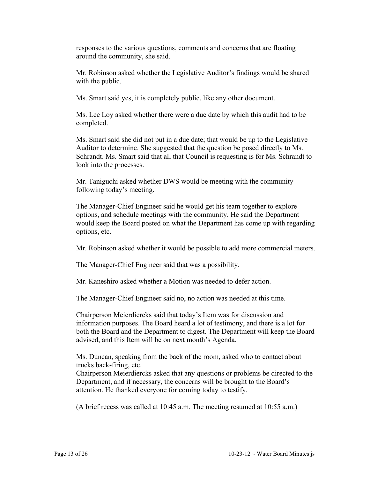responses to the various questions, comments and concerns that are floating around the community, she said.

Mr. Robinson asked whether the Legislative Auditor's findings would be shared with the public.

Ms. Smart said yes, it is completely public, like any other document.

Ms. Lee Loy asked whether there were a due date by which this audit had to be completed.

Ms. Smart said she did not put in a due date; that would be up to the Legislative Auditor to determine. She suggested that the question be posed directly to Ms. Schrandt. Ms. Smart said that all that Council is requesting is for Ms. Schrandt to look into the processes.

Mr. Taniguchi asked whether DWS would be meeting with the community following today's meeting.

The Manager-Chief Engineer said he would get his team together to explore options, and schedule meetings with the community. He said the Department would keep the Board posted on what the Department has come up with regarding options, etc.

Mr. Robinson asked whether it would be possible to add more commercial meters.

The Manager-Chief Engineer said that was a possibility.

Mr. Kaneshiro asked whether a Motion was needed to defer action.

The Manager-Chief Engineer said no, no action was needed at this time.

Chairperson Meierdiercks said that today's Item was for discussion and information purposes. The Board heard a lot of testimony, and there is a lot for both the Board and the Department to digest. The Department will keep the Board advised, and this Item will be on next month's Agenda.

Ms. Duncan, speaking from the back of the room, asked who to contact about trucks back-firing, etc.

Chairperson Meierdiercks asked that any questions or problems be directed to the Department, and if necessary, the concerns will be brought to the Board's attention. He thanked everyone for coming today to testify.

(A brief recess was called at 10:45 a.m. The meeting resumed at 10:55 a.m.)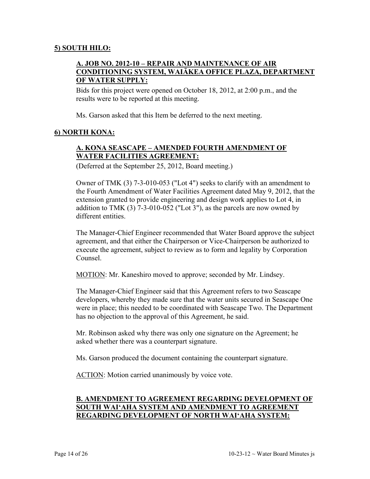#### **5) SOUTH HILO:**

### **A. JOB NO. 2012-10 – REPAIR AND MAINTENANCE OF AIR CONDITIONING SYSTEM, WAIĀKEA OFFICE PLAZA, DEPARTMENT OF WATER SUPPLY:**

Bids for this project were opened on October 18, 2012, at 2:00 p.m., and the results were to be reported at this meeting.

Ms. Garson asked that this Item be deferred to the next meeting.

#### **6) NORTH KONA:**

## **A. KONA SEASCAPE – AMENDED FOURTH AMENDMENT OF WATER FACILITIES AGREEMENT:**

(Deferred at the September 25, 2012, Board meeting.)

Owner of TMK (3) 7-3-010-053 ("Lot 4") seeks to clarify with an amendment to the Fourth Amendment of Water Facilities Agreement dated May 9, 2012, that the extension granted to provide engineering and design work applies to Lot 4, in addition to TMK (3) 7-3-010-052 ("Lot 3"), as the parcels are now owned by different entities.

The Manager-Chief Engineer recommended that Water Board approve the subject agreement, and that either the Chairperson or Vice-Chairperson be authorized to execute the agreement, subject to review as to form and legality by Corporation Counsel.

MOTION: Mr. Kaneshiro moved to approve; seconded by Mr. Lindsey.

The Manager-Chief Engineer said that this Agreement refers to two Seascape developers, whereby they made sure that the water units secured in Seascape One were in place; this needed to be coordinated with Seascape Two. The Department has no objection to the approval of this Agreement, he said.

Mr. Robinson asked why there was only one signature on the Agreement; he asked whether there was a counterpart signature.

Ms. Garson produced the document containing the counterpart signature.

ACTION: Motion carried unanimously by voice vote.

### **B. AMENDMENT TO AGREEMENT REGARDING DEVELOPMENT OF SOUTH WAI'AHA SYSTEM AND AMENDMENT TO AGREEMENT REGARDING DEVELOPMENT OF NORTH WAI'AHA SYSTEM:**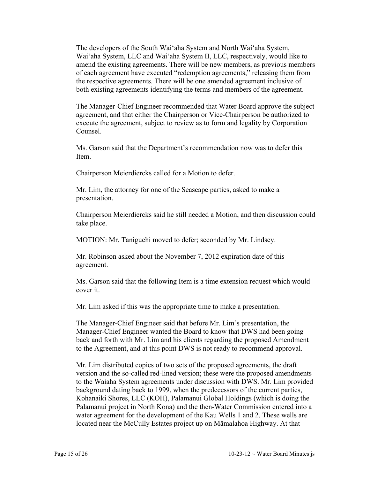The developers of the South Wai'aha System and North Wai'aha System, Wai'aha System, LLC and Wai'aha System II, LLC, respectively, would like to amend the existing agreements. There will be new members, as previous members of each agreement have executed "redemption agreements," releasing them from the respective agreements. There will be one amended agreement inclusive of both existing agreements identifying the terms and members of the agreement.

The Manager-Chief Engineer recommended that Water Board approve the subject agreement, and that either the Chairperson or Vice-Chairperson be authorized to execute the agreement, subject to review as to form and legality by Corporation Counsel.

Ms. Garson said that the Department's recommendation now was to defer this Item.

Chairperson Meierdiercks called for a Motion to defer.

Mr. Lim, the attorney for one of the Seascape parties, asked to make a presentation.

Chairperson Meierdiercks said he still needed a Motion, and then discussion could take place.

MOTION: Mr. Taniguchi moved to defer; seconded by Mr. Lindsey.

Mr. Robinson asked about the November 7, 2012 expiration date of this agreement.

Ms. Garson said that the following Item is a time extension request which would cover it.

Mr. Lim asked if this was the appropriate time to make a presentation.

The Manager-Chief Engineer said that before Mr. Lim's presentation, the Manager-Chief Engineer wanted the Board to know that DWS had been going back and forth with Mr. Lim and his clients regarding the proposed Amendment to the Agreement, and at this point DWS is not ready to recommend approval.

Mr. Lim distributed copies of two sets of the proposed agreements, the draft version and the so-called red-lined version; these were the proposed amendments to the Waiaha System agreements under discussion with DWS. Mr. Lim provided background dating back to 1999, when the predecessors of the current parties, Kohanaiki Shores, LLC (KOH), Palamanui Global Holdings (which is doing the Palamanui project in North Kona) and the then-Water Commission entered into a water agreement for the development of the Kau Wells 1 and 2. These wells are located near the McCully Estates project up on Māmalahoa Highway. At that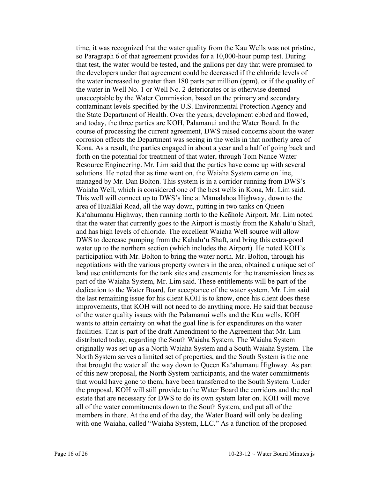time, it was recognized that the water quality from the Kau Wells was not pristine, so Paragraph 6 of that agreement provides for a 10,000-hour pump test. During that test, the water would be tested, and the gallons per day that were promised to the developers under that agreement could be decreased if the chloride levels of the water increased to greater than 180 parts per million (ppm), or if the quality of the water in Well No. 1 or Well No. 2 deteriorates or is otherwise deemed unacceptable by the Water Commission, based on the primary and secondary contaminant levels specified by the U.S. Environmental Protection Agency and the State Department of Health. Over the years, development ebbed and flowed, and today, the three parties are KOH, Palamanui and the Water Board. In the course of processing the current agreement, DWS raised concerns about the water corrosion effects the Department was seeing in the wells in that northerly area of Kona. As a result, the parties engaged in about a year and a half of going back and forth on the potential for treatment of that water, through Tom Nance Water Resource Engineering. Mr. Lim said that the parties have come up with several solutions. He noted that as time went on, the Waiaha System came on line, managed by Mr. Dan Bolton. This system is in a corridor running from DWS's Waiaha Well, which is considered one of the best wells in Kona, Mr. Lim said. This well will connect up to DWS's line at Māmalahoa Highway, down to the area of Hualālai Road, all the way down, putting in two tanks on Queen Ka'ahumanu Highway, then running north to the Keāhole Airport. Mr. Lim noted that the water that currently goes to the Airport is mostly from the Kahalu'u Shaft, and has high levels of chloride. The excellent Waiaha Well source will allow DWS to decrease pumping from the Kahalu'u Shaft, and bring this extra-good water up to the northern section (which includes the Airport). He noted KOH's participation with Mr. Bolton to bring the water north. Mr. Bolton, through his negotiations with the various property owners in the area, obtained a unique set of land use entitlements for the tank sites and easements for the transmission lines as part of the Waiaha System, Mr. Lim said. These entitlements will be part of the dedication to the Water Board, for acceptance of the water system. Mr. Lim said the last remaining issue for his client KOH is to know, once his client does these improvements, that KOH will not need to do anything more. He said that because of the water quality issues with the Palamanui wells and the Kau wells, KOH wants to attain certainty on what the goal line is for expenditures on the water facilities. That is part of the draft Amendment to the Agreement that Mr. Lim distributed today, regarding the South Waiaha System. The Waiaha System originally was set up as a North Waiaha System and a South Waiaha System. The North System serves a limited set of properties, and the South System is the one that brought the water all the way down to Queen Ka'ahumanu Highway. As part of this new proposal, the North System participants, and the water commitments that would have gone to them, have been transferred to the South System. Under the proposal, KOH will still provide to the Water Board the corridors and the real estate that are necessary for DWS to do its own system later on. KOH will move all of the water commitments down to the South System, and put all of the members in there. At the end of the day, the Water Board will only be dealing with one Waiaha, called "Waiaha System, LLC." As a function of the proposed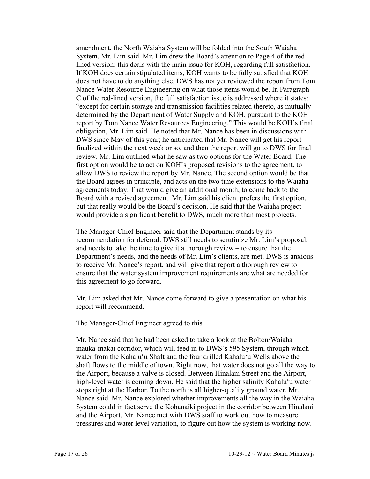amendment, the North Waiaha System will be folded into the South Waiaha System, Mr. Lim said. Mr. Lim drew the Board's attention to Page 4 of the redlined version: this deals with the main issue for KOH, regarding full satisfaction. If KOH does certain stipulated items, KOH wants to be fully satisfied that KOH does not have to do anything else. DWS has not yet reviewed the report from Tom Nance Water Resource Engineering on what those items would be. In Paragraph C of the red-lined version, the full satisfaction issue is addressed where it states: "except for certain storage and transmission facilities related thereto, as mutually determined by the Department of Water Supply and KOH, pursuant to the KOH report by Tom Nance Water Resources Engineering." This would be KOH's final obligation, Mr. Lim said. He noted that Mr. Nance has been in discussions with DWS since May of this year; he anticipated that Mr. Nance will get his report finalized within the next week or so, and then the report will go to DWS for final review. Mr. Lim outlined what he saw as two options for the Water Board. The first option would be to act on KOH's proposed revisions to the agreement, to allow DWS to review the report by Mr. Nance. The second option would be that the Board agrees in principle, and acts on the two time extensions to the Waiaha agreements today. That would give an additional month, to come back to the Board with a revised agreement. Mr. Lim said his client prefers the first option, but that really would be the Board's decision. He said that the Waiaha project would provide a significant benefit to DWS, much more than most projects.

The Manager-Chief Engineer said that the Department stands by its recommendation for deferral. DWS still needs to scrutinize Mr. Lim's proposal, and needs to take the time to give it a thorough review – to ensure that the Department's needs, and the needs of Mr. Lim's clients, are met. DWS is anxious to receive Mr. Nance's report, and will give that report a thorough review to ensure that the water system improvement requirements are what are needed for this agreement to go forward.

Mr. Lim asked that Mr. Nance come forward to give a presentation on what his report will recommend.

The Manager-Chief Engineer agreed to this.

Mr. Nance said that he had been asked to take a look at the Bolton/Waiaha mauka-makai corridor, which will feed in to DWS's 595 System, through which water from the Kahalu'u Shaft and the four drilled Kahalu'u Wells above the shaft flows to the middle of town. Right now, that water does not go all the way to the Airport, because a valve is closed. Between Hinalani Street and the Airport, high-level water is coming down. He said that the higher salinity Kahalu'u water stops right at the Harbor. To the north is all higher-quality ground water, Mr. Nance said. Mr. Nance explored whether improvements all the way in the Waiaha System could in fact serve the Kohanaiki project in the corridor between Hinalani and the Airport. Mr. Nance met with DWS staff to work out how to measure pressures and water level variation, to figure out how the system is working now.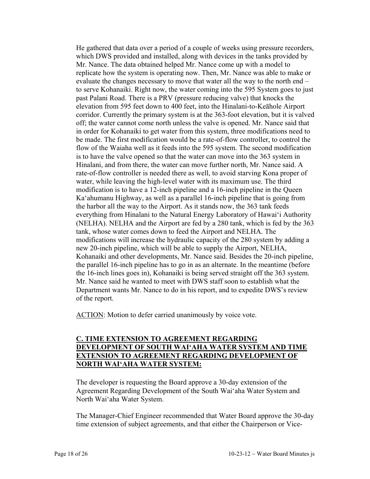He gathered that data over a period of a couple of weeks using pressure recorders, which DWS provided and installed, along with devices in the tanks provided by Mr. Nance. The data obtained helped Mr. Nance come up with a model to replicate how the system is operating now. Then, Mr. Nance was able to make or evaluate the changes necessary to move that water all the way to the north end – to serve Kohanaiki. Right now, the water coming into the 595 System goes to just past Palani Road. There is a PRV (pressure reducing valve) that knocks the elevation from 595 feet down to 400 feet, into the Hinalani-to-Keāhole Airport corridor. Currently the primary system is at the 363-foot elevation, but it is valved off; the water cannot come north unless the valve is opened. Mr. Nance said that in order for Kohanaiki to get water from this system, three modifications need to be made. The first modification would be a rate-of-flow controller, to control the flow of the Waiaha well as it feeds into the 595 system. The second modification is to have the valve opened so that the water can move into the 363 system in Hinalani, and from there, the water can move further north, Mr. Nance said. A rate-of-flow controller is needed there as well, to avoid starving Kona proper of water, while leaving the high-level water with its maximum use. The third modification is to have a 12-inch pipeline and a 16-inch pipeline in the Queen Ka'ahumanu Highway, as well as a parallel 16-inch pipeline that is going from the harbor all the way to the Airport. As it stands now, the 363 tank feeds everything from Hinalani to the Natural Energy Laboratory of Hawai'i Authority (NELHA). NELHA and the Airport are fed by a 280 tank, which is fed by the 363 tank, whose water comes down to feed the Airport and NELHA. The modifications will increase the hydraulic capacity of the 280 system by adding a new 20-inch pipeline, which will be able to supply the Airport, NELHA, Kohanaiki and other developments, Mr. Nance said. Besides the 20-inch pipeline, the parallel 16-inch pipeline has to go in as an alternate. In the meantime (before the 16-inch lines goes in), Kohanaiki is being served straight off the 363 system. Mr. Nance said he wanted to meet with DWS staff soon to establish what the Department wants Mr. Nance to do in his report, and to expedite DWS's review of the report.

ACTION: Motion to defer carried unanimously by voice vote.

### **C. TIME EXTENSION TO AGREEMENT REGARDING DEVELOPMENT OF SOUTH WAI'AHA WATER SYSTEM AND TIME EXTENSION TO AGREEMENT REGARDING DEVELOPMENT OF NORTH WAI'AHA WATER SYSTEM:**

The developer is requesting the Board approve a 30-day extension of the Agreement Regarding Development of the South Wai'aha Water System and North Wai'aha Water System.

The Manager-Chief Engineer recommended that Water Board approve the 30-day time extension of subject agreements, and that either the Chairperson or Vice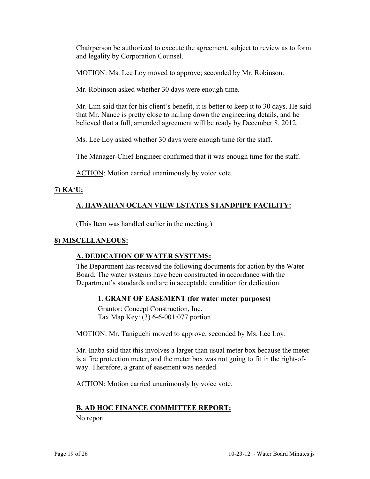Chairperson be authorized to execute the agreement, subject to review as to form and legality by Corporation Counsel.

MOTION: Ms. Lee Loy moved to approve; seconded by Mr. Robinson.

Mr. Robinson asked whether 30 days were enough time.

Mr. Lim said that for his client's benefit, it is better to keep it to 30 days. He said that Mr. Nance is pretty close to nailing down the engineering details, and he believed that a full, amended agreement will be ready by December 8, 2012.

Ms. Lee Loy asked whether 30 days were enough time for the staff.

The Manager-Chief Engineer confirmed that it was enough time for the staff.

ACTION: Motion carried unanimously by voice vote.

### **7) KA'U:**

## **A. HAWAIIAN OCEAN VIEW ESTATES STANDPIPE FACILITY:**

(This Item was handled earlier in the meeting.)

#### **8) MISCELLANEOUS:**

### **A. DEDICATION OF WATER SYSTEMS:**

The Department has received the following documents for action by the Water Board. The water systems have been constructed in accordance with the Department's standards and are in acceptable condition for dedication.

#### **1. GRANT OF EASEMENT (for water meter purposes)**

Grantor: Concept Construction, Inc. Tax Map Key: (3) 6-6-001:077 portion

MOTION: Mr. Taniguchi moved to approve; seconded by Ms. Lee Loy.

Mr. Inaba said that this involves a larger than usual meter box because the meter is a fire protection meter, and the meter box was not going to fit in the right-ofway. Therefore, a grant of easement was needed.

ACTION: Motion carried unanimously by voice vote.

### **B. AD HOC FINANCE COMMITTEE REPORT:**

No report.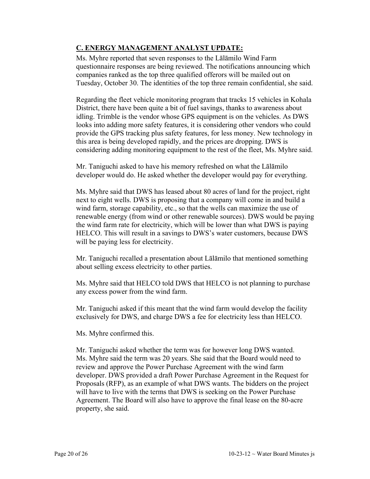# **C. ENERGY MANAGEMENT ANALYST UPDATE:**

Ms. Myhre reported that seven responses to the Lālāmilo Wind Farm questionnaire responses are being reviewed. The notifications announcing which companies ranked as the top three qualified offerors will be mailed out on Tuesday, October 30. The identities of the top three remain confidential, she said.

Regarding the fleet vehicle monitoring program that tracks 15 vehicles in Kohala District, there have been quite a bit of fuel savings, thanks to awareness about idling. Trimble is the vendor whose GPS equipment is on the vehicles. As DWS looks into adding more safety features, it is considering other vendors who could provide the GPS tracking plus safety features, for less money. New technology in this area is being developed rapidly, and the prices are dropping. DWS is considering adding monitoring equipment to the rest of the fleet, Ms. Myhre said.

Mr. Taniguchi asked to have his memory refreshed on what the Lālāmilo developer would do. He asked whether the developer would pay for everything.

Ms. Myhre said that DWS has leased about 80 acres of land for the project, right next to eight wells. DWS is proposing that a company will come in and build a wind farm, storage capability, etc., so that the wells can maximize the use of renewable energy (from wind or other renewable sources). DWS would be paying the wind farm rate for electricity, which will be lower than what DWS is paying HELCO. This will result in a savings to DWS's water customers, because DWS will be paying less for electricity.

Mr. Taniguchi recalled a presentation about Lālāmilo that mentioned something about selling excess electricity to other parties.

Ms. Myhre said that HELCO told DWS that HELCO is not planning to purchase any excess power from the wind farm.

Mr. Taniguchi asked if this meant that the wind farm would develop the facility exclusively for DWS, and charge DWS a fee for electricity less than HELCO.

Ms. Myhre confirmed this.

Mr. Taniguchi asked whether the term was for however long DWS wanted. Ms. Myhre said the term was 20 years. She said that the Board would need to review and approve the Power Purchase Agreement with the wind farm developer. DWS provided a draft Power Purchase Agreement in the Request for Proposals (RFP), as an example of what DWS wants. The bidders on the project will have to live with the terms that DWS is seeking on the Power Purchase Agreement. The Board will also have to approve the final lease on the 80-acre property, she said.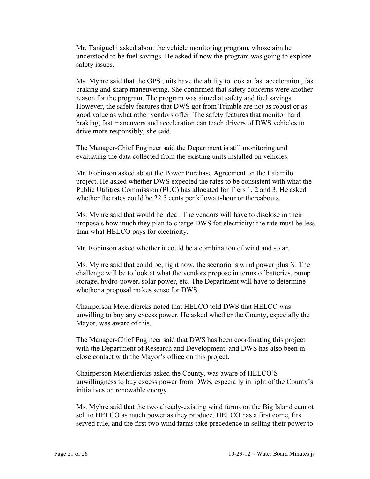Mr. Taniguchi asked about the vehicle monitoring program, whose aim he understood to be fuel savings. He asked if now the program was going to explore safety issues.

Ms. Myhre said that the GPS units have the ability to look at fast acceleration, fast braking and sharp maneuvering. She confirmed that safety concerns were another reason for the program. The program was aimed at safety and fuel savings. However, the safety features that DWS got from Trimble are not as robust or as good value as what other vendors offer. The safety features that monitor hard braking, fast maneuvers and acceleration can teach drivers of DWS vehicles to drive more responsibly, she said.

The Manager-Chief Engineer said the Department is still monitoring and evaluating the data collected from the existing units installed on vehicles.

Mr. Robinson asked about the Power Purchase Agreement on the Lālāmilo project. He asked whether DWS expected the rates to be consistent with what the Public Utilities Commission (PUC) has allocated for Tiers 1, 2 and 3. He asked whether the rates could be 22.5 cents per kilowatt-hour or thereabouts.

Ms. Myhre said that would be ideal. The vendors will have to disclose in their proposals how much they plan to charge DWS for electricity; the rate must be less than what HELCO pays for electricity.

Mr. Robinson asked whether it could be a combination of wind and solar.

Ms. Myhre said that could be; right now, the scenario is wind power plus X. The challenge will be to look at what the vendors propose in terms of batteries, pump storage, hydro-power, solar power, etc. The Department will have to determine whether a proposal makes sense for DWS.

Chairperson Meierdiercks noted that HELCO told DWS that HELCO was unwilling to buy any excess power. He asked whether the County, especially the Mayor, was aware of this.

The Manager-Chief Engineer said that DWS has been coordinating this project with the Department of Research and Development, and DWS has also been in close contact with the Mayor's office on this project.

Chairperson Meierdiercks asked the County, was aware of HELCO'S unwillingness to buy excess power from DWS, especially in light of the County's initiatives on renewable energy.

Ms. Myhre said that the two already-existing wind farms on the Big Island cannot sell to HELCO as much power as they produce. HELCO has a first come, first served rule, and the first two wind farms take precedence in selling their power to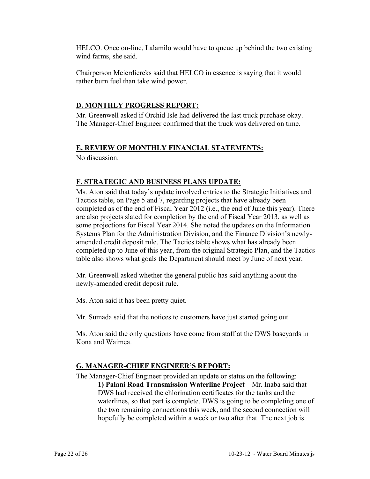HELCO. Once on-line, Lālāmilo would have to queue up behind the two existing wind farms, she said.

Chairperson Meierdiercks said that HELCO in essence is saying that it would rather burn fuel than take wind power.

### **D. MONTHLY PROGRESS REPORT:**

Mr. Greenwell asked if Orchid Isle had delivered the last truck purchase okay. The Manager-Chief Engineer confirmed that the truck was delivered on time.

### **E. REVIEW OF MONTHLY FINANCIAL STATEMENTS:**

No discussion.

## **F. STRATEGIC AND BUSINESS PLANS UPDATE:**

Ms. Aton said that today's update involved entries to the Strategic Initiatives and Tactics table, on Page 5 and 7, regarding projects that have already been completed as of the end of Fiscal Year 2012 (i.e., the end of June this year). There are also projects slated for completion by the end of Fiscal Year 2013, as well as some projections for Fiscal Year 2014. She noted the updates on the Information Systems Plan for the Administration Division, and the Finance Division's newlyamended credit deposit rule. The Tactics table shows what has already been completed up to June of this year, from the original Strategic Plan, and the Tactics table also shows what goals the Department should meet by June of next year.

Mr. Greenwell asked whether the general public has said anything about the newly-amended credit deposit rule.

Ms. Aton said it has been pretty quiet.

Mr. Sumada said that the notices to customers have just started going out.

Ms. Aton said the only questions have come from staff at the DWS baseyards in Kona and Waimea.

### **G. MANAGER-CHIEF ENGINEER'S REPORT:**

The Manager-Chief Engineer provided an update or status on the following:

**1) Palani Road Transmission Waterline Project** – Mr. Inaba said that DWS had received the chlorination certificates for the tanks and the waterlines, so that part is complete. DWS is going to be completing one of the two remaining connections this week, and the second connection will hopefully be completed within a week or two after that. The next job is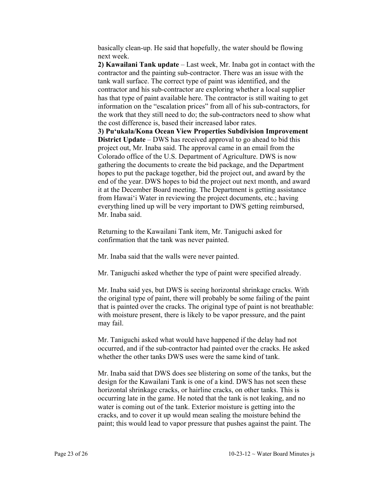basically clean-up. He said that hopefully, the water should be flowing next week.

**2) Kawailani Tank update** – Last week, Mr. Inaba got in contact with the contractor and the painting sub-contractor. There was an issue with the tank wall surface. The correct type of paint was identified, and the contractor and his sub-contractor are exploring whether a local supplier has that type of paint available here. The contractor is still waiting to get information on the "escalation prices" from all of his sub-contractors, for the work that they still need to do; the sub-contractors need to show what the cost difference is, based their increased labor rates.

**3) Pu'ukala/Kona Ocean View Properties Subdivision Improvement District Update** – DWS has received approval to go ahead to bid this project out, Mr. Inaba said. The approval came in an email from the Colorado office of the U.S. Department of Agriculture. DWS is now gathering the documents to create the bid package, and the Department hopes to put the package together, bid the project out, and award by the end of the year. DWS hopes to bid the project out next month, and award it at the December Board meeting. The Department is getting assistance from Hawai'i Water in reviewing the project documents, etc.; having everything lined up will be very important to DWS getting reimbursed, Mr. Inaba said.

Returning to the Kawailani Tank item, Mr. Taniguchi asked for confirmation that the tank was never painted.

Mr. Inaba said that the walls were never painted.

Mr. Taniguchi asked whether the type of paint were specified already.

Mr. Inaba said yes, but DWS is seeing horizontal shrinkage cracks. With the original type of paint, there will probably be some failing of the paint that is painted over the cracks. The original type of paint is not breathable: with moisture present, there is likely to be vapor pressure, and the paint may fail.

Mr. Taniguchi asked what would have happened if the delay had not occurred, and if the sub-contractor had painted over the cracks. He asked whether the other tanks DWS uses were the same kind of tank.

Mr. Inaba said that DWS does see blistering on some of the tanks, but the design for the Kawailani Tank is one of a kind. DWS has not seen these horizontal shrinkage cracks, or hairline cracks, on other tanks. This is occurring late in the game. He noted that the tank is not leaking, and no water is coming out of the tank. Exterior moisture is getting into the cracks, and to cover it up would mean sealing the moisture behind the paint; this would lead to vapor pressure that pushes against the paint. The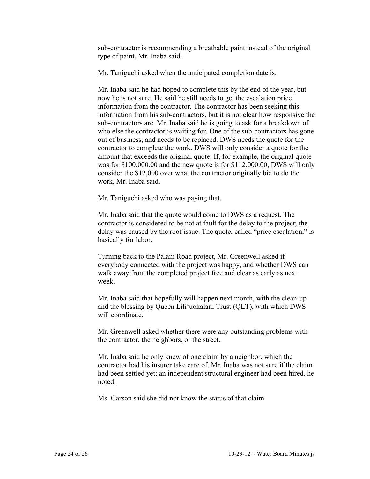sub-contractor is recommending a breathable paint instead of the original type of paint, Mr. Inaba said.

Mr. Taniguchi asked when the anticipated completion date is.

Mr. Inaba said he had hoped to complete this by the end of the year, but now he is not sure. He said he still needs to get the escalation price information from the contractor. The contractor has been seeking this information from his sub-contractors, but it is not clear how responsive the sub-contractors are. Mr. Inaba said he is going to ask for a breakdown of who else the contractor is waiting for. One of the sub-contractors has gone out of business, and needs to be replaced. DWS needs the quote for the contractor to complete the work. DWS will only consider a quote for the amount that exceeds the original quote. If, for example, the original quote was for \$100,000.00 and the new quote is for \$112,000.00, DWS will only consider the \$12,000 over what the contractor originally bid to do the work, Mr. Inaba said.

Mr. Taniguchi asked who was paying that.

Mr. Inaba said that the quote would come to DWS as a request. The contractor is considered to be not at fault for the delay to the project; the delay was caused by the roof issue. The quote, called "price escalation," is basically for labor.

Turning back to the Palani Road project, Mr. Greenwell asked if everybody connected with the project was happy, and whether DWS can walk away from the completed project free and clear as early as next week.

Mr. Inaba said that hopefully will happen next month, with the clean-up and the blessing by Queen Lili'uokalani Trust (QLT), with which DWS will coordinate.

Mr. Greenwell asked whether there were any outstanding problems with the contractor, the neighbors, or the street.

Mr. Inaba said he only knew of one claim by a neighbor, which the contractor had his insurer take care of. Mr. Inaba was not sure if the claim had been settled yet; an independent structural engineer had been hired, he noted.

Ms. Garson said she did not know the status of that claim.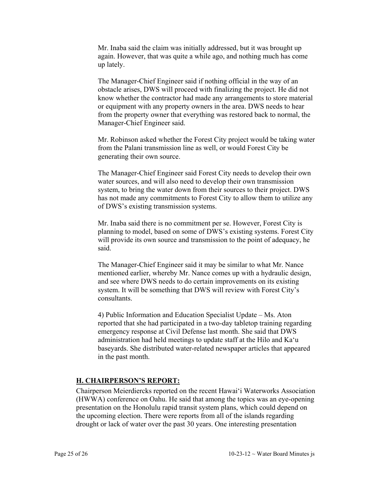Mr. Inaba said the claim was initially addressed, but it was brought up again. However, that was quite a while ago, and nothing much has come up lately.

The Manager-Chief Engineer said if nothing official in the way of an obstacle arises, DWS will proceed with finalizing the project. He did not know whether the contractor had made any arrangements to store material or equipment with any property owners in the area. DWS needs to hear from the property owner that everything was restored back to normal, the Manager-Chief Engineer said.

Mr. Robinson asked whether the Forest City project would be taking water from the Palani transmission line as well, or would Forest City be generating their own source.

The Manager-Chief Engineer said Forest City needs to develop their own water sources, and will also need to develop their own transmission system, to bring the water down from their sources to their project. DWS has not made any commitments to Forest City to allow them to utilize any of DWS's existing transmission systems.

Mr. Inaba said there is no commitment per se. However, Forest City is planning to model, based on some of DWS's existing systems. Forest City will provide its own source and transmission to the point of adequacy, he said.

The Manager-Chief Engineer said it may be similar to what Mr. Nance mentioned earlier, whereby Mr. Nance comes up with a hydraulic design, and see where DWS needs to do certain improvements on its existing system. It will be something that DWS will review with Forest City's consultants.

4) Public Information and Education Specialist Update – Ms. Aton reported that she had participated in a two-day tabletop training regarding emergency response at Civil Defense last month. She said that DWS administration had held meetings to update staff at the Hilo and Ka'u baseyards. She distributed water-related newspaper articles that appeared in the past month.

### **H. CHAIRPERSON'S REPORT:**

Chairperson Meierdiercks reported on the recent Hawai'i Waterworks Association (HWWA) conference on Oahu. He said that among the topics was an eye-opening presentation on the Honolulu rapid transit system plans, which could depend on the upcoming election. There were reports from all of the islands regarding drought or lack of water over the past 30 years. One interesting presentation